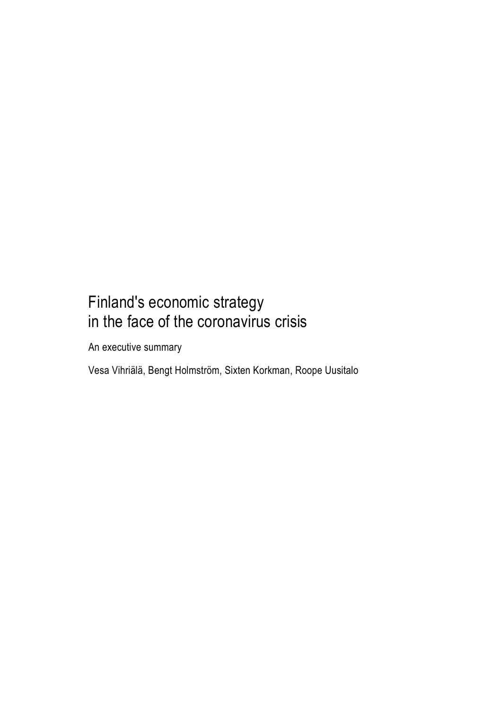## Finland's economic strategy in the face of the coronavirus crisis

An executive summary

Vesa Vihriälä, Bengt Holmström, Sixten Korkman, Roope Uusitalo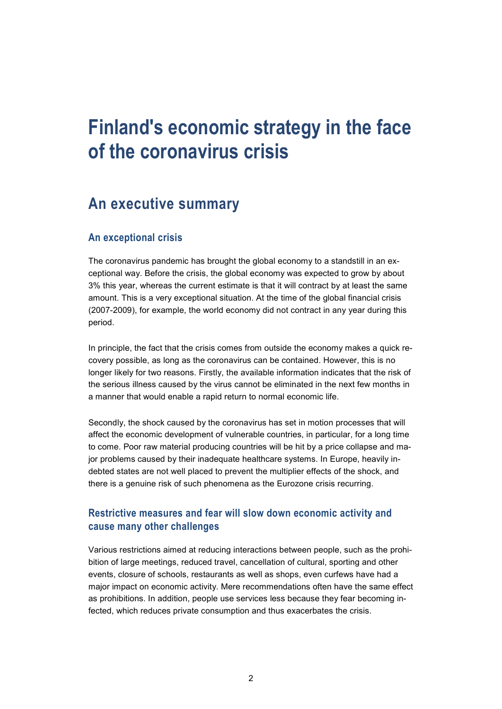# **Finland's economic strategy in the face of the coronavirus crisis**

### **An executive summary**

#### **An exceptional crisis**

The coronavirus pandemic has brought the global economy to a standstill in an exceptional way. Before the crisis, the global economy was expected to grow by about 3% this year, whereas the current estimate is that it will contract by at least the same amount. This is a very exceptional situation. At the time of the global financial crisis (2007-2009), for example, the world economy did not contract in any year during this period.

In principle, the fact that the crisis comes from outside the economy makes a quick recovery possible, as long as the coronavirus can be contained. However, this is no longer likely for two reasons. Firstly, the available information indicates that the risk of the serious illness caused by the virus cannot be eliminated in the next few months in a manner that would enable a rapid return to normal economic life.

Secondly, the shock caused by the coronavirus has set in motion processes that will affect the economic development of vulnerable countries, in particular, for a long time to come. Poor raw material producing countries will be hit by a price collapse and major problems caused by their inadequate healthcare systems. In Europe, heavily indebted states are not well placed to prevent the multiplier effects of the shock, and there is a genuine risk of such phenomena as the Eurozone crisis recurring.

#### **Restrictive measures and fear will slow down economic activity and cause many other challenges**

Various restrictions aimed at reducing interactions between people, such as the prohibition of large meetings, reduced travel, cancellation of cultural, sporting and other events, closure of schools, restaurants as well as shops, even curfews have had a major impact on economic activity. Mere recommendations often have the same effect as prohibitions. In addition, people use services less because they fear becoming infected, which reduces private consumption and thus exacerbates the crisis.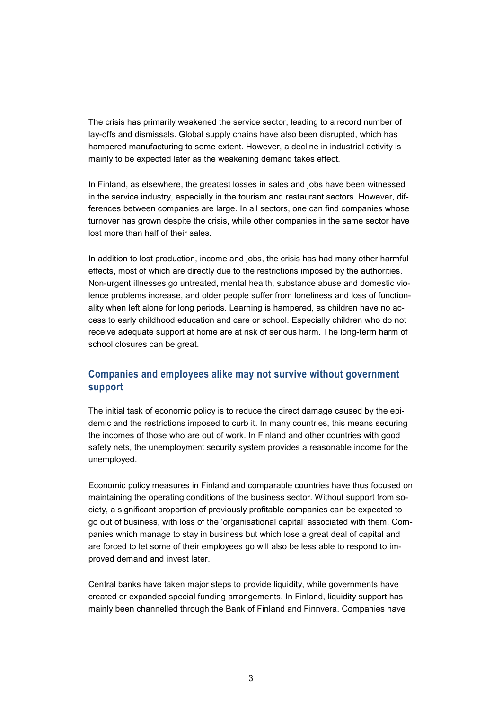The crisis has primarily weakened the service sector, leading to a record number of lay-offs and dismissals. Global supply chains have also been disrupted, which has hampered manufacturing to some extent. However, a decline in industrial activity is mainly to be expected later as the weakening demand takes effect.

In Finland, as elsewhere, the greatest losses in sales and jobs have been witnessed in the service industry, especially in the tourism and restaurant sectors. However, differences between companies are large. In all sectors, one can find companies whose turnover has grown despite the crisis, while other companies in the same sector have lost more than half of their sales.

In addition to lost production, income and jobs, the crisis has had many other harmful effects, most of which are directly due to the restrictions imposed by the authorities. Non-urgent illnesses go untreated, mental health, substance abuse and domestic violence problems increase, and older people suffer from loneliness and loss of functionality when left alone for long periods. Learning is hampered, as children have no access to early childhood education and care or school. Especially children who do not receive adequate support at home are at risk of serious harm. The long-term harm of school closures can be great.

#### **Companies and employees alike may not survive without government support**

The initial task of economic policy is to reduce the direct damage caused by the epidemic and the restrictions imposed to curb it. In many countries, this means securing the incomes of those who are out of work. In Finland and other countries with good safety nets, the unemployment security system provides a reasonable income for the unemployed.

Economic policy measures in Finland and comparable countries have thus focused on maintaining the operating conditions of the business sector. Without support from society, a significant proportion of previously profitable companies can be expected to go out of business, with loss of the 'organisational capital' associated with them. Companies which manage to stay in business but which lose a great deal of capital and are forced to let some of their employees go will also be less able to respond to improved demand and invest later.

Central banks have taken major steps to provide liquidity, while governments have created or expanded special funding arrangements. In Finland, liquidity support has mainly been channelled through the Bank of Finland and Finnvera. Companies have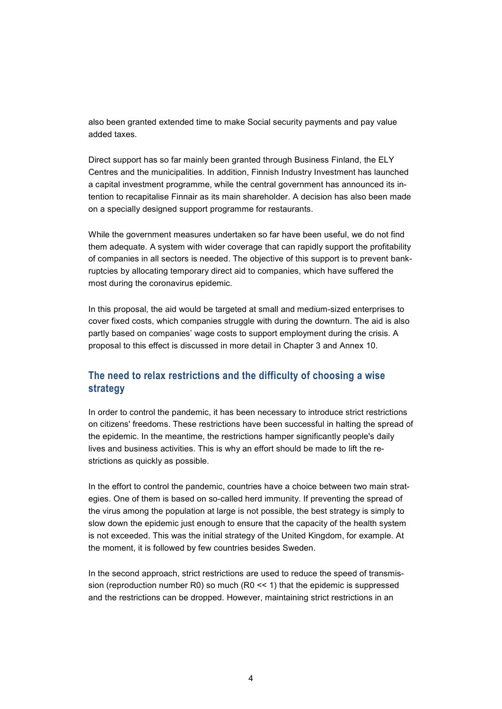also been granted extended time to make Social security payments and pay value added taxes.

Direct support has so far mainly been granted through Business Finland, the ELY Centres and the municipalities. In addition, Finnish Industry Investment has launched a capital investment programme, while the central government has announced its intention to recapitalise Finnair as its main shareholder. A decision has also been made on a specially designed support programme for restaurants.

While the government measures undertaken so far have been useful, we do not find them adequate. A system with wider coverage that can rapidly support the profitability of companies in all sectors is needed. The objective of this support is to prevent bankruptcies by allocating temporary direct aid to companies, which have suffered the most during the coronavirus epidemic.

In this proposal, the aid would be targeted at small and medium-sized enterprises to cover fixed costs, which companies struggle with during the downturn. The aid is also partly based on companies' wage costs to support employment during the crisis. A proposal to this effect is discussed in more detail in Chapter 3 and Annex 10.

#### **The need to relax restrictions and the difficulty of choosing a wise strategy**

In order to control the pandemic, it has been necessary to introduce strict restrictions on citizens' freedoms. These restrictions have been successful in halting the spread of the epidemic. In the meantime, the restrictions hamper significantly people's daily lives and business activities. This is why an effort should be made to lift the restrictions as quickly as possible.

In the effort to control the pandemic, countries have a choice between two main strategies. One of them is based on so-called herd immunity. If preventing the spread of the virus among the population at large is not possible, the best strategy is simply to slow down the epidemic just enough to ensure that the capacity of the health system is not exceeded. This was the initial strategy of the United Kingdom, for example. At the moment, it is followed by few countries besides Sweden.

In the second approach, strict restrictions are used to reduce the speed of transmission (reproduction number R0) so much (R0 << 1) that the epidemic is suppressed and the restrictions can be dropped. However, maintaining strict restrictions in an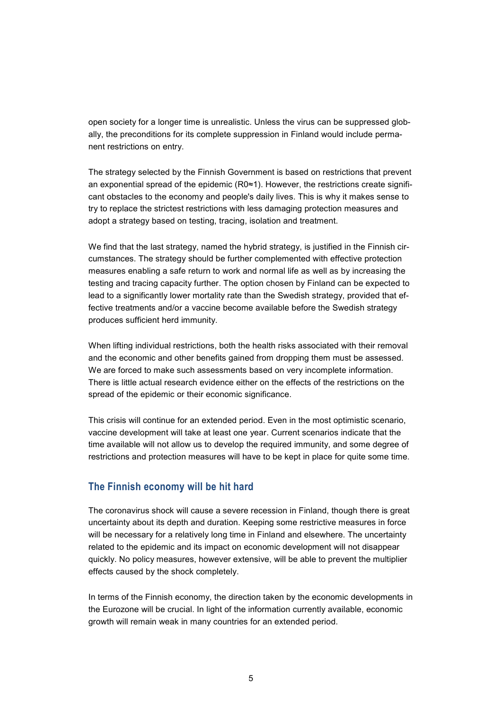open society for a longer time is unrealistic. Unless the virus can be suppressed globally, the preconditions for its complete suppression in Finland would include permanent restrictions on entry.

The strategy selected by the Finnish Government is based on restrictions that prevent an exponential spread of the epidemic (R0≈1). However, the restrictions create significant obstacles to the economy and people's daily lives. This is why it makes sense to try to replace the strictest restrictions with less damaging protection measures and adopt a strategy based on testing, tracing, isolation and treatment.

We find that the last strategy, named the hybrid strategy, is justified in the Finnish circumstances. The strategy should be further complemented with effective protection measures enabling a safe return to work and normal life as well as by increasing the testing and tracing capacity further. The option chosen by Finland can be expected to lead to a significantly lower mortality rate than the Swedish strategy, provided that effective treatments and/or a vaccine become available before the Swedish strategy produces sufficient herd immunity.

When lifting individual restrictions, both the health risks associated with their removal and the economic and other benefits gained from dropping them must be assessed. We are forced to make such assessments based on very incomplete information. There is little actual research evidence either on the effects of the restrictions on the spread of the epidemic or their economic significance.

This crisis will continue for an extended period. Even in the most optimistic scenario, vaccine development will take at least one year. Current scenarios indicate that the time available will not allow us to develop the required immunity, and some degree of restrictions and protection measures will have to be kept in place for quite some time.

#### **The Finnish economy will be hit hard**

The coronavirus shock will cause a severe recession in Finland, though there is great uncertainty about its depth and duration. Keeping some restrictive measures in force will be necessary for a relatively long time in Finland and elsewhere. The uncertainty related to the epidemic and its impact on economic development will not disappear quickly. No policy measures, however extensive, will be able to prevent the multiplier effects caused by the shock completely.

In terms of the Finnish economy, the direction taken by the economic developments in the Eurozone will be crucial. In light of the information currently available, economic growth will remain weak in many countries for an extended period.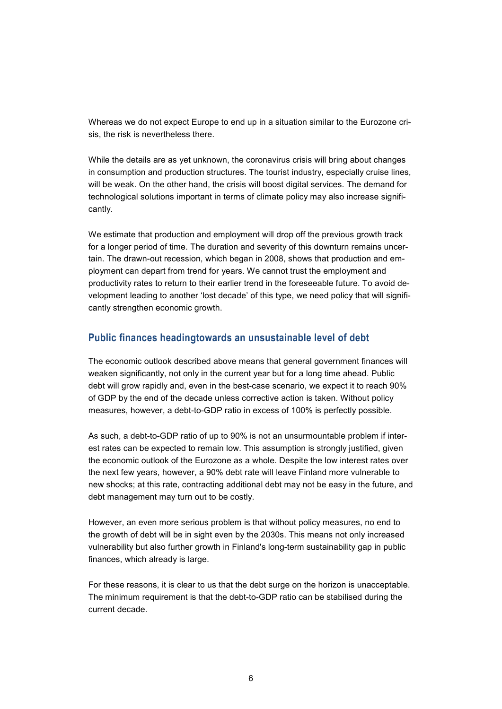Whereas we do not expect Europe to end up in a situation similar to the Eurozone crisis, the risk is nevertheless there.

While the details are as yet unknown, the coronavirus crisis will bring about changes in consumption and production structures. The tourist industry, especially cruise lines, will be weak. On the other hand, the crisis will boost digital services. The demand for technological solutions important in terms of climate policy may also increase significantly.

We estimate that production and employment will drop off the previous growth track for a longer period of time. The duration and severity of this downturn remains uncertain. The drawn-out recession, which began in 2008, shows that production and employment can depart from trend for years. We cannot trust the employment and productivity rates to return to their earlier trend in the foreseeable future. To avoid development leading to another 'lost decade' of this type, we need policy that will significantly strengthen economic growth.

#### **Public finances headingtowards an unsustainable level of debt**

The economic outlook described above means that general government finances will weaken significantly, not only in the current year but for a long time ahead. Public debt will grow rapidly and, even in the best-case scenario, we expect it to reach 90% of GDP by the end of the decade unless corrective action is taken. Without policy measures, however, a debt-to-GDP ratio in excess of 100% is perfectly possible.

As such, a debt-to-GDP ratio of up to 90% is not an unsurmountable problem if interest rates can be expected to remain low. This assumption is strongly justified, given the economic outlook of the Eurozone as a whole. Despite the low interest rates over the next few years, however, a 90% debt rate will leave Finland more vulnerable to new shocks; at this rate, contracting additional debt may not be easy in the future, and debt management may turn out to be costly.

However, an even more serious problem is that without policy measures, no end to the growth of debt will be in sight even by the 2030s. This means not only increased vulnerability but also further growth in Finland's long-term sustainability gap in public finances, which already is large.

For these reasons, it is clear to us that the debt surge on the horizon is unacceptable. The minimum requirement is that the debt-to-GDP ratio can be stabilised during the current decade.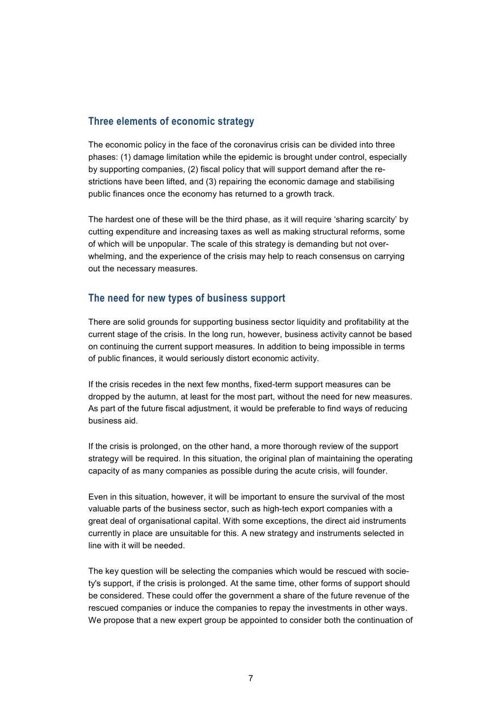#### **Three elements of economic strategy**

The economic policy in the face of the coronavirus crisis can be divided into three phases: (1) damage limitation while the epidemic is brought under control, especially by supporting companies, (2) fiscal policy that will support demand after the restrictions have been lifted, and (3) repairing the economic damage and stabilising public finances once the economy has returned to a growth track.

The hardest one of these will be the third phase, as it will require 'sharing scarcity' by cutting expenditure and increasing taxes as well as making structural reforms, some of which will be unpopular. The scale of this strategy is demanding but not overwhelming, and the experience of the crisis may help to reach consensus on carrying out the necessary measures.

#### **The need for new types of business support**

There are solid grounds for supporting business sector liquidity and profitability at the current stage of the crisis. In the long run, however, business activity cannot be based on continuing the current support measures. In addition to being impossible in terms of public finances, it would seriously distort economic activity.

If the crisis recedes in the next few months, fixed-term support measures can be dropped by the autumn, at least for the most part, without the need for new measures. As part of the future fiscal adjustment, it would be preferable to find ways of reducing business aid.

If the crisis is prolonged, on the other hand, a more thorough review of the support strategy will be required. In this situation, the original plan of maintaining the operating capacity of as many companies as possible during the acute crisis, will founder.

Even in this situation, however, it will be important to ensure the survival of the most valuable parts of the business sector, such as high-tech export companies with a great deal of organisational capital. With some exceptions, the direct aid instruments currently in place are unsuitable for this. A new strategy and instruments selected in line with it will be needed.

The key question will be selecting the companies which would be rescued with society's support, if the crisis is prolonged. At the same time, other forms of support should be considered. These could offer the government a share of the future revenue of the rescued companies or induce the companies to repay the investments in other ways. We propose that a new expert group be appointed to consider both the continuation of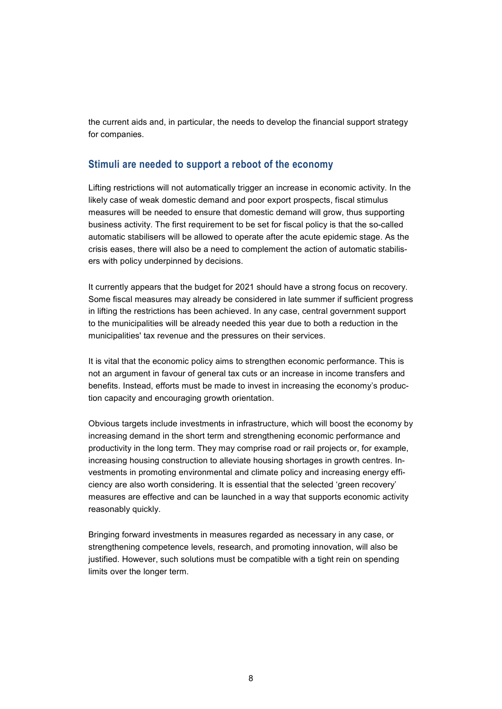the current aids and, in particular, the needs to develop the financial support strategy for companies.

#### **Stimuli are needed to support a reboot of the economy**

Lifting restrictions will not automatically trigger an increase in economic activity. In the likely case of weak domestic demand and poor export prospects, fiscal stimulus measures will be needed to ensure that domestic demand will grow, thus supporting business activity. The first requirement to be set for fiscal policy is that the so-called automatic stabilisers will be allowed to operate after the acute epidemic stage. As the crisis eases, there will also be a need to complement the action of automatic stabilisers with policy underpinned by decisions.

It currently appears that the budget for 2021 should have a strong focus on recovery. Some fiscal measures may already be considered in late summer if sufficient progress in lifting the restrictions has been achieved. In any case, central government support to the municipalities will be already needed this year due to both a reduction in the municipalities' tax revenue and the pressures on their services.

It is vital that the economic policy aims to strengthen economic performance. This is not an argument in favour of general tax cuts or an increase in income transfers and benefits. Instead, efforts must be made to invest in increasing the economy's production capacity and encouraging growth orientation.

Obvious targets include investments in infrastructure, which will boost the economy by increasing demand in the short term and strengthening economic performance and productivity in the long term. They may comprise road or rail projects or, for example, increasing housing construction to alleviate housing shortages in growth centres. Investments in promoting environmental and climate policy and increasing energy efficiency are also worth considering. It is essential that the selected 'green recovery' measures are effective and can be launched in a way that supports economic activity reasonably quickly.

Bringing forward investments in measures regarded as necessary in any case, or strengthening competence levels, research, and promoting innovation, will also be justified. However, such solutions must be compatible with a tight rein on spending limits over the longer term.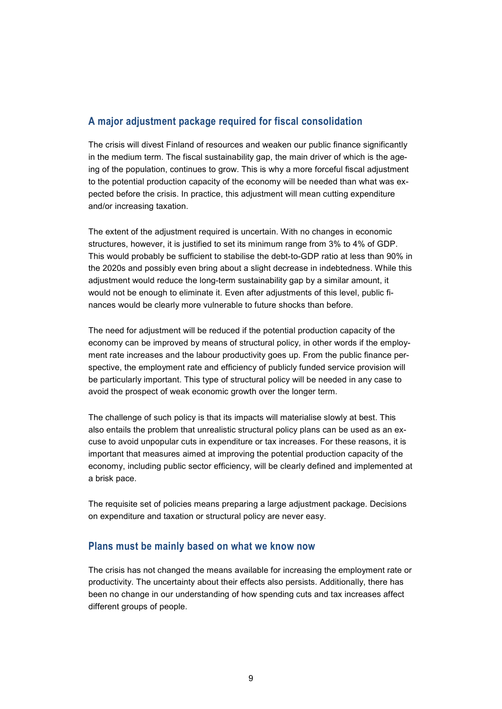#### **A major adjustment package required for fiscal consolidation**

The crisis will divest Finland of resources and weaken our public finance significantly in the medium term. The fiscal sustainability gap, the main driver of which is the ageing of the population, continues to grow. This is why a more forceful fiscal adjustment to the potential production capacity of the economy will be needed than what was expected before the crisis. In practice, this adjustment will mean cutting expenditure and/or increasing taxation.

The extent of the adjustment required is uncertain. With no changes in economic structures, however, it is justified to set its minimum range from 3% to 4% of GDP. This would probably be sufficient to stabilise the debt-to-GDP ratio at less than 90% in the 2020s and possibly even bring about a slight decrease in indebtedness. While this adjustment would reduce the long-term sustainability gap by a similar amount, it would not be enough to eliminate it. Even after adjustments of this level, public finances would be clearly more vulnerable to future shocks than before.

The need for adjustment will be reduced if the potential production capacity of the economy can be improved by means of structural policy, in other words if the employment rate increases and the labour productivity goes up. From the public finance perspective, the employment rate and efficiency of publicly funded service provision will be particularly important. This type of structural policy will be needed in any case to avoid the prospect of weak economic growth over the longer term.

The challenge of such policy is that its impacts will materialise slowly at best. This also entails the problem that unrealistic structural policy plans can be used as an excuse to avoid unpopular cuts in expenditure or tax increases. For these reasons, it is important that measures aimed at improving the potential production capacity of the economy, including public sector efficiency, will be clearly defined and implemented at a brisk pace.

The requisite set of policies means preparing a large adjustment package. Decisions on expenditure and taxation or structural policy are never easy.

#### **Plans must be mainly based on what we know now**

The crisis has not changed the means available for increasing the employment rate or productivity. The uncertainty about their effects also persists. Additionally, there has been no change in our understanding of how spending cuts and tax increases affect different groups of people.